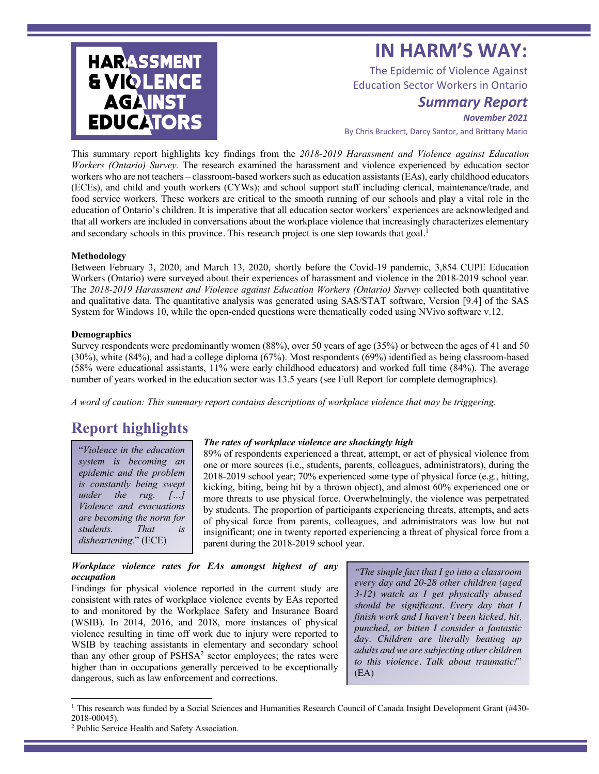# **IN HARM'S WAY:**

The Epidemic of Violence Against Education Sector Workers in Ontario

## *Summary Report*

*November 2021*

By Chris Bruckert, Darcy Santor, and Brittany Mario

This summary report highlights key findings from the *2018-2019 Harassment and Violence against Education Workers (Ontario) Survey.* The research examined the harassment and violence experienced by education sector workers who are not teachers – classroom-based workers such as education assistants(EAs), early childhood educators (ECEs), and child and youth workers (CYWs); and school support staff including clerical, maintenance/trade, and food service workers. These workers are critical to the smooth running of our schools and play a vital role in the education of Ontario's children. It is imperative that all education sector workers' experiences are acknowledged and that all workers are included in conversations about the workplace violence that increasingly characterizes elementary and secondary schools in this province. This research project is one step towards that goal.<sup>1</sup>

#### **Methodology**

**HARASSMENT** 

**& VIQLENCE AGAINST** 

**EDUCATORS** 

Between February 3, 2020, and March 13, 2020, shortly before the Covid-19 pandemic, 3,854 CUPE Education Workers (Ontario) were surveyed about their experiences of harassment and violence in the 2018-2019 school year. The *2018-2019 Harassment and Violence against Education Workers (Ontario) Survey* collected both quantitative and qualitative data. The quantitative analysis was generated using SAS/STAT software, Version [9.4] of the SAS System for Windows 10, while the open-ended questions were thematically coded using NVivo software v.12.

#### **Demographics**

Survey respondents were predominantly women (88%), over 50 years of age (35%) or between the ages of 41 and 50 (30%), white (84%), and had a college diploma (67%). Most respondents (69%) identified as being classroom-based (58% were educational assistants, 11% were early childhood educators) and worked full time (84%). The average number of years worked in the education sector was 13.5 years (see Full Report for complete demographics).

*A word of caution: This summary report contains descriptions of workplace violence that may be triggering.*

## **Report highlights**

"*Violence in the education system is becoming an epidemic and the problem is constantly being swept under the rug. […] Violence and evacuations are becoming the norm for students. That is disheartening*." (ECE)

## *The rates of workplace violence are shockingly high*

89% of respondents experienced a threat, attempt, or act of physical violence from one or more sources (i.e., students, parents, colleagues, administrators), during the 2018-2019 school year; 70% experienced some type of physical force (e.g., hitting, kicking, biting, being hit by a thrown object), and almost 60% experienced one or more threats to use physical force. Overwhelmingly, the violence was perpetrated by students. The proportion of participants experiencing threats, attempts, and acts of physical force from parents, colleagues, and administrators was low but not insignificant; one in twenty reported experiencing a threat of physical force from a parent during the 2018-2019 school year.

#### *Workplace violence rates for EAs amongst highest of any occupation*

Findings for physical violence reported in the current study are consistent with rates of workplace violence events by EAs reported to and monitored by the Workplace Safety and Insurance Board (WSIB). In 2014, 2016, and 2018, more instances of physical violence resulting in time off work due to injury were reported to WSIB by teaching assistants in elementary and secondary school than any other group of PSHSA<sup>2</sup> sector employees; the rates were higher than in occupations generally perceived to be exceptionally dangerous, such as law enforcement and corrections.

*"The simple fact that I go into a classroom every day and 20-28 other children (aged 3-12) watch as I get physically abused should be significant. Every day that I finish work and I haven't been kicked, hit, punched, or bitten I consider a fantastic day. Children are literally beating up adults and we are subjecting other children to this violence. Talk about traumatic!*" (EA)

<sup>&</sup>lt;sup>1</sup> This research was funded by a Social Sciences and Humanities Research Council of Canada Insight Development Grant (#430-2018-00045).

<sup>2</sup> Public Service Health and Safety Association.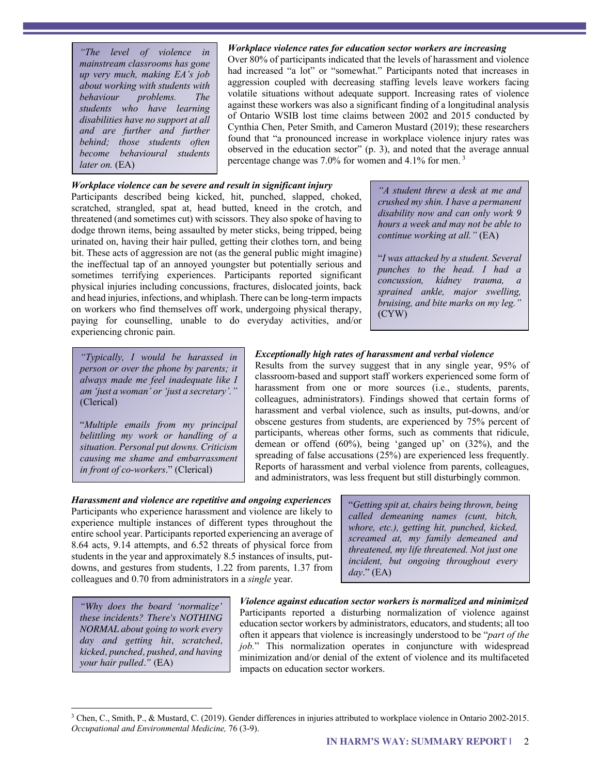*"The level of violence in mainstream classrooms has gone up very much, making EA's job about working with students with behaviour problems. The students who have learning disabilities have no support at all and are further and further behind; those students often become behavioural students later on.* (EA)

#### *Workplace violence rates for education sector workers are increasing*

Over 80% of participants indicated that the levels of harassment and violence had increased "a lot" or "somewhat." Participants noted that increases in aggression coupled with decreasing staffing levels leave workers facing volatile situations without adequate support. Increasing rates of violence against these workers was also a significant finding of a longitudinal analysis of Ontario WSIB lost time claims between 2002 and 2015 conducted by Cynthia Chen, Peter Smith, and Cameron Mustard (2019); these researchers found that "a pronounced increase in workplace violence injury rates was observed in the education sector" (p. 3), and noted that the average annual percentage change was 7.0% for women and 4.1% for men. 3

#### *Workplace violence can be severe and result in significant injury*

Participants described being kicked, hit, punched, slapped, choked, scratched, strangled, spat at, head butted, kneed in the crotch, and threatened (and sometimes cut) with scissors. They also spoke of having to dodge thrown items, being assaulted by meter sticks, being tripped, being urinated on, having their hair pulled, getting their clothes torn, and being bit. These acts of aggression are not (as the general public might imagine) the ineffectual tap of an annoyed youngster but potentially serious and sometimes terrifying experiences. Participants reported significant physical injuries including concussions, fractures, dislocated joints, back and head injuries, infections, and whiplash. There can be long-term impacts on workers who find themselves off work, undergoing physical therapy, paying for counselling, unable to do everyday activities, and/or experiencing chronic pain.

*"A student threw a desk at me and crushed my shin. I have a permanent disability now and can only work 9 hours a week and may not be able to continue working at all."* (EA)

"*I was attacked by a student. Several punches to the head. I had a concussion, kidney trauma, a sprained ankle, major swelling, bruising, and bite marks on my leg."*  (CYW)

*"Typically, I would be harassed in person or over the phone by parents; it always made me feel inadequate like I am 'just a woman' or 'just a secretary'."* (Clerical)

"*Multiple emails from my principal belittling my work or handling of a situation. Personal put downs. Criticism causing me shame and embarrassment in front of co-workers*." (Clerical)

#### *Exceptionally high rates of harassment and verbal violence*

Results from the survey suggest that in any single year, 95% of classroom-based and support staff workers experienced some form of harassment from one or more sources (i.e., students, parents, colleagues, administrators). Findings showed that certain forms of harassment and verbal violence, such as insults, put-downs, and/or obscene gestures from students, are experienced by 75% percent of participants, whereas other forms, such as comments that ridicule, demean or offend (60%), being 'ganged up' on (32%), and the spreading of false accusations (25%) are experienced less frequently. Reports of harassment and verbal violence from parents, colleagues, and administrators, was less frequent but still disturbingly common.

*Harassment and violence are repetitive and ongoing experiences*  Participants who experience harassment and violence are likely to experience multiple instances of different types throughout the entire school year. Participants reported experiencing an average of 8.64 acts, 9.14 attempts, and 6.52 threats of physical force from students in the year and approximately 8.5 instances of insults, putdowns, and gestures from students, 1.22 from parents, 1.37 from colleagues and 0.70 from administrators in a *single* year.

"*Getting spit at, chairs being thrown, being called demeaning names (cunt, bitch, whore, etc.), getting hit, punched, kicked, screamed at, my family demeaned and threatened, my life threatened. Not just one incident, but ongoing throughout every day*." (EA)

*"Why does the board 'normalize' these incidents? There's NOTHING NORMAL about going to work every day and getting hit, scratched, kicked, punched, pushed, and having your hair pulled."* (EA)

*Violence against education sector workers is normalized and minimized* Participants reported a disturbing normalization of violence against education sector workers by administrators, educators, and students; all too often it appears that violence is increasingly understood to be "*part of the job.*" This normalization operates in conjuncture with widespread minimization and/or denial of the extent of violence and its multifaceted impacts on education sector workers.

<sup>3</sup> Chen, C., Smith, P., & Mustard, C. (2019). Gender differences in injuries attributed to workplace violence in Ontario 2002-2015. *Occupational and Environmental Medicine,* 76 (3-9).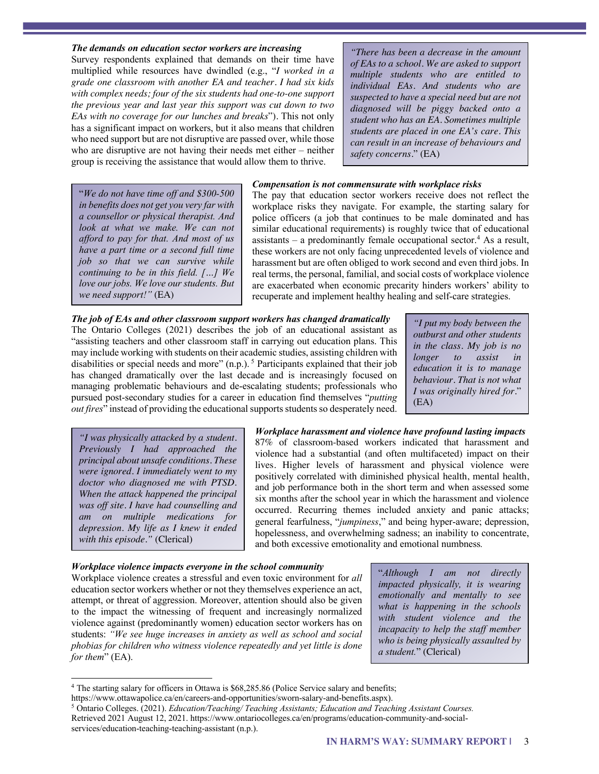#### *The demands on education sector workers are increasing*

Survey respondents explained that demands on their time have multiplied while resources have dwindled (e.g., "*I worked in a grade one classroom with another EA and teacher. I had six kids with complex needs; four of the six students had one-to-one support the previous year and last year this support was cut down to two EAs with no coverage for our lunches and breaks*"). This not only has a significant impact on workers, but it also means that children who need support but are not disruptive are passed over, while those who are disruptive are not having their needs met either – neither group is receiving the assistance that would allow them to thrive.

*"There has been a decrease in the amount of EAs to a school. We are asked to support multiple students who are entitled to individual EAs. And students who are suspected to have a special need but are not diagnosed will be piggy backed onto a student who has an EA. Sometimes multiple students are placed in one EA's care. This can result in an increase of behaviours and safety concerns.*" (EA)

#### "*We do not have time off and \$300-500 in benefits does not get you very far with a counsellor or physical therapist. And look at what we make. We can not afford to pay for that. And most of us have a part time or a second full time job so that we can survive while continuing to be in this field. […] We love our jobs. We love our students. But we need support!"* (EA)

#### *Compensation is not commensurate with workplace risks*

The pay that education sector workers receive does not reflect the workplace risks they navigate. For example, the starting salary for police officers (a job that continues to be male dominated and has similar educational requirements) is roughly twice that of educational assistants – a predominantly female occupational sector.<sup>4</sup> As a result, these workers are not only facing unprecedented levels of violence and harassment but are often obliged to work second and even third jobs. In real terms, the personal, familial, and social costs of workplace violence are exacerbated when economic precarity hinders workers' ability to recuperate and implement healthy healing and self-care strategies.

*The job of EAs and other classroom support workers has changed dramatically* The Ontario Colleges (2021) describes the job of an educational assistant as "assisting teachers and other classroom staff in carrying out education plans. This may include working with students on their academic studies, assisting children with disabilities or special needs and more" (n.p.).<sup>5</sup> Participants explained that their job has changed dramatically over the last decade and is increasingly focused on managing problematic behaviours and de-escalating students; professionals who pursued post-secondary studies for a career in education find themselves "*putting out fires*" instead of providing the educational supports students so desperately need.

*"I put my body between the outburst and other students in the class. My job is no longer to assist in education it is to manage behaviour. That is not what I was originally hired for.*" (EA)

*"I was physically attacked by a student. Previously I had approached the principal about unsafe conditions. These were ignored. I immediately went to my doctor who diagnosed me with PTSD. When the attack happened the principal was off site. I have had counselling and am on multiple medications for depression. My life as I knew it ended with this episode."* (Clerical)

## *Workplace harassment and violence have profound lasting impacts* 87% of classroom-based workers indicated that harassment and violence had a substantial (and often multifaceted) impact on their lives. Higher levels of harassment and physical violence were positively correlated with diminished physical health, mental health, and job performance both in the short term and when assessed some six months after the school year in which the harassment and violence occurred. Recurring themes included anxiety and panic attacks; general fearfulness, "*jumpiness*," and being hyper-aware; depression, hopelessness, and overwhelming sadness; an inability to concentrate, and both excessive emotionality and emotional numbness*.*

#### *Workplace violence impacts everyone in the school community*

Workplace violence creates a stressful and even toxic environment for *all* education sector workers whether or not they themselves experience an act, attempt, or threat of aggression. Moreover, attention should also be given to the impact the witnessing of frequent and increasingly normalized violence against (predominantly women) education sector workers has on students: *"We see huge increases in anxiety as well as school and social phobias for children who witness violence repeatedly and yet little is done for them*" (EA).

"*Although I am not directly impacted physically, it is wearing emotionally and mentally to see what is happening in the schools with student violence and the incapacity to help the staff member who is being physically assaulted by a student.*" (Clerical)

<sup>&</sup>lt;sup>4</sup> The starting salary for officers in Ottawa is \$68,285.86 (Police Service salary and benefits;

https://www.ottawapolice.ca/en/careers-and-opportunities/sworn-salary-and-benefits.aspx).

<sup>5</sup> Ontario Colleges. (2021). *Education/Teaching/ Teaching Assistants; Education and Teaching Assistant Courses.* Retrieved 2021 August 12, 2021. https://www.ontariocolleges.ca/en/programs/education-community-and-socialservices/education-teaching-teaching-assistant (n.p.).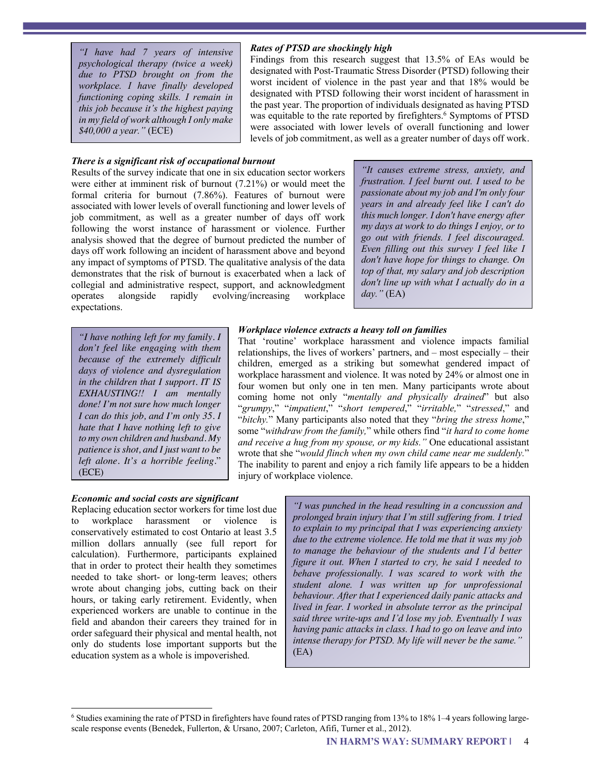*"I have had 7 years of intensive psychological therapy (twice a week) due to PTSD brought on from the workplace. I have finally developed functioning coping skills. I remain in this job because it's the highest paying in my field of work although I only make \$40,000 a year."* (ECE)

## *There is a significant risk of occupational burnout*

#### Results of the survey indicate that one in six education sector workers were either at imminent risk of burnout (7.21%) or would meet the formal criteria for burnout (7.86%). Features of burnout were associated with lower levels of overall functioning and lower levels of job commitment, as well as a greater number of days off work following the worst instance of harassment or violence. Further analysis showed that the degree of burnout predicted the number of days off work following an incident of harassment above and beyond any impact of symptoms of PTSD. The qualitative analysis of the data demonstrates that the risk of burnout is exacerbated when a lack of collegial and administrative respect, support, and acknowledgment operates alongside rapidly evolving/increasing workplace expectations.

*"It causes extreme stress, anxiety, and frustration. I feel burnt out. I used to be passionate about my job and I'm only four years in and already feel like I can't do this much longer. I don't have energy after my days at work to do things I enjoy, or to go out with friends. I feel discouraged. Even filling out this survey I feel like I don't have hope for things to change. On top of that, my salary and job description don't line up with what I actually do in a day."* (EA)

*"I have nothing left for my family. I don't feel like engaging with them because of the extremely difficult days of violence and dysregulation in the children that I support. IT IS EXHAUSTING!! I am mentally done! I'm not sure how much longer I can do this job, and I'm only 35. I hate that I have nothing left to give to my own children and husband. My patience is shot, and I just want to be left alone. It's a horrible feeling.*" (ECE)

## *Workplace violence extracts a heavy toll on families*

*Rates of PTSD are shockingly high* 

Findings from this research suggest that 13.5% of EAs would be designated with Post-Traumatic Stress Disorder (PTSD) following their worst incident of violence in the past year and that 18% would be designated with PTSD following their worst incident of harassment in the past year. The proportion of individuals designated as having PTSD was equitable to the rate reported by firefighters.<sup>6</sup> Symptoms of PTSD were associated with lower levels of overall functioning and lower levels of job commitment, as well as a greater number of days off work.

That 'routine' workplace harassment and violence impacts familial relationships, the lives of workers' partners, and – most especially – their children, emerged as a striking but somewhat gendered impact of workplace harassment and violence. It was noted by 24% or almost one in four women but only one in ten men. Many participants wrote about coming home not only "*mentally and physically drained*" but also "*grumpy*," "*impatient*," "*short tempered*," "*irritable,*" "*stressed*," and "*bitchy.*" Many participants also noted that they "*bring the stress home*," some "*withdraw from the family,*" while others find "*it hard to come home and receive a hug from my spouse, or my kids."* One educational assistant wrote that she "*would flinch when my own child came near me suddenly.*" The inability to parent and enjoy a rich family life appears to be a hidden injury of workplace violence.

## *Economic and social costs are significant*

Replacing education sector workers for time lost due to workplace harassment or violence is conservatively estimated to cost Ontario at least 3.5 million dollars annually (see full report for calculation). Furthermore, participants explained that in order to protect their health they sometimes needed to take short- or long-term leaves; others wrote about changing jobs, cutting back on their hours, or taking early retirement. Evidently, when experienced workers are unable to continue in the field and abandon their careers they trained for in order safeguard their physical and mental health, not only do students lose important supports but the education system as a whole is impoverished.

*"I was punched in the head resulting in a concussion and prolonged brain injury that I'm still suffering from. I tried to explain to my principal that I was experiencing anxiety due to the extreme violence. He told me that it was my job to manage the behaviour of the students and I'd better figure it out. When I started to cry, he said I needed to behave professionally. I was scared to work with the student alone. I was written up for unprofessional behaviour. After that I experienced daily panic attacks and lived in fear. I worked in absolute terror as the principal said three write-ups and I'd lose my job. Eventually I was having panic attacks in class. I had to go on leave and into intense therapy for PTSD. My life will never be the same."* (EA)

<sup>6</sup> Studies examining the rate of PTSD in firefighters have found rates of PTSD ranging from 13% to 18% 1–4 years following largescale response events (Benedek, Fullerton, & Ursano, 2007; Carleton, Afifi, Turner et al., 2012).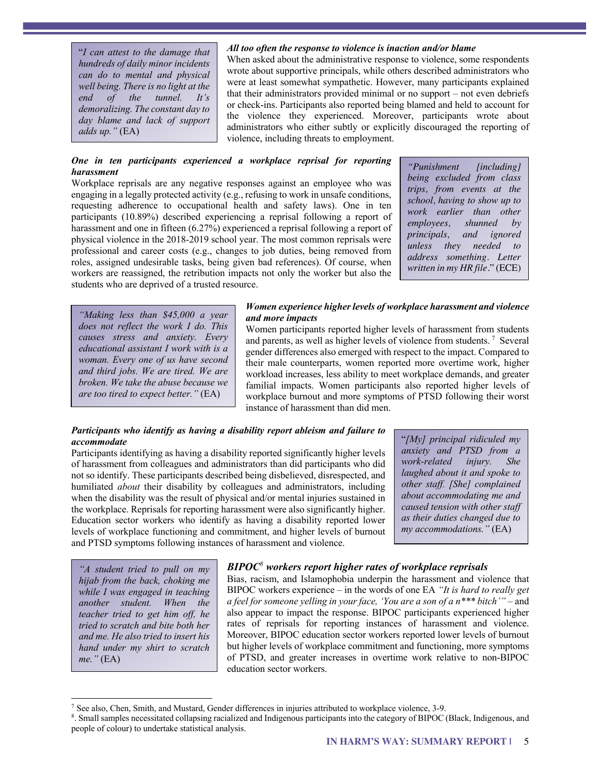"*I can attest to the damage that hundreds of daily minor incidents can do to mental and physical well being. There is no light at the end of the tunnel. It's demoralizing. The constant day to day blame and lack of support adds up."* (EA)

#### *All too often the response to violence is inaction and/or blame*

When asked about the administrative response to violence, some respondents wrote about supportive principals, while others described administrators who were at least somewhat sympathetic. However, many participants explained that their administrators provided minimal or no support – not even debriefs or check-ins. Participants also reported being blamed and held to account for the violence they experienced. Moreover, participants wrote about administrators who either subtly or explicitly discouraged the reporting of violence, including threats to employment.

## *One in ten participants experienced a workplace reprisal for reporting harassment*

Workplace reprisals are any negative responses against an employee who was engaging in a legally protected activity (e.g., refusing to work in unsafe conditions, requesting adherence to occupational health and safety laws). One in ten participants (10.89%) described experiencing a reprisal following a report of harassment and one in fifteen (6.27%) experienced a reprisal following a report of physical violence in the 2018-2019 school year. The most common reprisals were professional and career costs (e.g., changes to job duties, being removed from roles, assigned undesirable tasks, being given bad references). Of course, when workers are reassigned, the retribution impacts not only the worker but also the students who are deprived of a trusted resource.

*"Punishment [including] being excluded from class trips, from events at the school, having to show up to work earlier than other employees, shunned by principals, and ignored unless they needed to address something. Letter written in my HR file.*" (ECE)

*"Making less than \$45,000 a year does not reflect the work I do. This causes stress and anxiety. Every educational assistant I work with is a woman. Every one of us have second and third jobs. We are tired. We are broken. We take the abuse because we are too tired to expect better."* (EA)

#### *Women experience higher levels of workplace harassment and violence and more impacts*

Women participants reported higher levels of harassment from students and parents, as well as higher levels of violence from students. <sup>7</sup> Several gender differences also emerged with respect to the impact. Compared to their male counterparts, women reported more overtime work, higher workload increases, less ability to meet workplace demands, and greater familial impacts. Women participants also reported higher levels of workplace burnout and more symptoms of PTSD following their worst instance of harassment than did men.

#### *Participants who identify as having a disability report ableism and failure to accommodate*

Participants identifying as having a disability reported significantly higher levels of harassment from colleagues and administrators than did participants who did not so identify. These participants described being disbelieved, disrespected, and humiliated *about* their disability by colleagues and administrators, including when the disability was the result of physical and/or mental injuries sustained in the workplace. Reprisals for reporting harassment were also significantly higher. Education sector workers who identify as having a disability reported lower levels of workplace functioning and commitment, and higher levels of burnout and PTSD symptoms following instances of harassment and violence.

"*[My] principal ridiculed my anxiety and PTSD from a work-related injury. She laughed about it and spoke to other staff. [She] complained about accommodating me and caused tension with other staff as their duties changed due to my accommodations."* (EA)

*"A student tried to pull on my hijab from the back, choking me while I was engaged in teaching another student. When the teacher tried to get him off, he tried to scratch and bite both her and me. He also tried to insert his hand under my shirt to scratch me."* (EA)

## *BIPOC<sup>8</sup> workers report higher rates of workplace reprisals*

Bias, racism, and Islamophobia underpin the harassment and violence that BIPOC workers experience – in the words of one EA *"It is hard to really get a feel for someone yelling in your face, 'You are a son of a n\*\*\* bitch'" –* and also appear to impact the response. BIPOC participants experienced higher rates of reprisals for reporting instances of harassment and violence. Moreover, BIPOC education sector workers reported lower levels of burnout but higher levels of workplace commitment and functioning, more symptoms of PTSD, and greater increases in overtime work relative to non-BIPOC education sector workers.

 $^7$  See also, Chen, Smith, and Mustard, Gender differences in injuries attributed to workplace violence, 3-9.

<sup>8.</sup> Small samples necessitated collapsing racialized and Indigenous participants into the category of BIPOC (Black, Indigenous, and people of colour) to undertake statistical analysis.